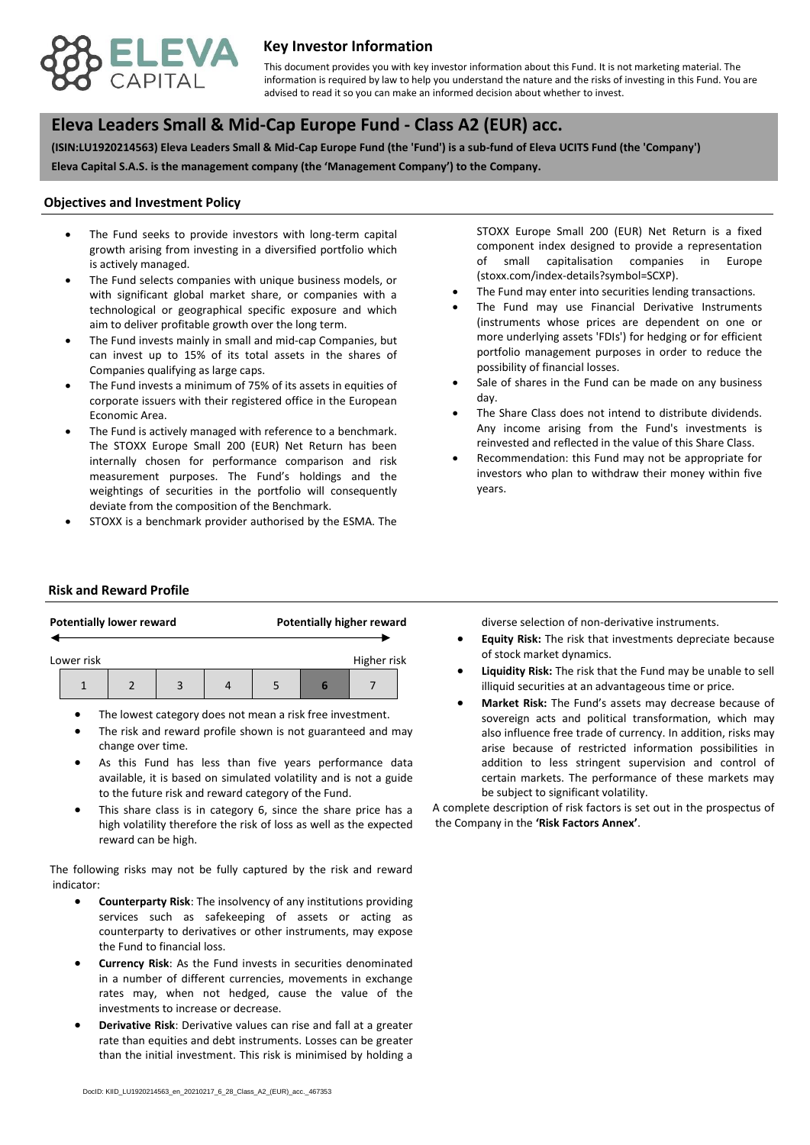

## **Key Investor Information**

advised to read it so you can make an informed decision about whether to invest. This document provides you with key investor information about this Fund. It is not marketing material. The information is required by law to help you understand the nature and the risks of investing in this Fund. You are

# **, Eleva Leaders Small & Mid-Cap Europe Fund - Class A2 (EUR) acc.**

**(ISIN:LU1920214563) Eleva Leaders Small & Mid-Cap Europe Fund (the 'Fund') is a sub-fund of Eleva UCITS Fund (the 'Company') Eleva Capital S.A.S. is the management company (the 'Management Company') to the Company.**

#### **Objectives and Investment Policy**

- is actively managed. The Fund seeks to provide investors with long-term capital growth arising from investing in a diversified portfolio which
- The Fund selects companies with unique business models, or with significant global market share, or companies with a technological or geographical specific exposure and which aim to deliver profitable growth over the long term.
- The Fund invests mainly in small and mid-cap Companies, but can invest up to 15% of its total assets in the shares of Companies qualifying as large caps.
- The Fund invests a minimum of 75% of its assets in equities of corporate issuers with their registered office in the European Economic Area.
- The Fund is actively managed with reference to a benchmark. The STOXX Europe Small 200 (EUR) Net Return has been internally chosen for performance comparison and risk measurement purposes. The Fund's holdings and the weightings of securities in the portfolio will consequently deviate from the composition of the Benchmark.
- STOXX is a benchmark provider authorised by the ESMA. The

STOXX Europe Small 200 (EUR) Net Return is a fixed component index designed to provide a representation of small capitalisation companies in Europe (stoxx.com/index-details?symbol=SCXP).

- The Fund may enter into securities lending transactions.
- The Fund may use Financial Derivative Instruments (instruments whose prices are dependent on one or more underlying assets 'FDIs') for hedging or for efficient portfolio management purposes in order to reduce the possibility of financial losses.
- Sale of shares in the Fund can be made on any business day.
- The Share Class does not intend to distribute dividends. Any income arising from the Fund's investments is reinvested and reflected in the value of this Share Class.
- Recommendation: this Fund may not be appropriate for investors who plan to withdraw their money within five years.

### **Risk and Reward Profile**

| <b>Potentially lower reward</b> |  |  |  |  |  |  | <b>Potentially higher reward</b> |  |
|---------------------------------|--|--|--|--|--|--|----------------------------------|--|
| Higher risk<br>Lower risk       |  |  |  |  |  |  |                                  |  |
|                                 |  |  |  |  |  |  |                                  |  |

- The lowest category does not mean a risk free investment.
- The risk and reward profile shown is not guaranteed and may change over time.
- As this Fund has less than five years performance data available, it is based on simulated volatility and is not a guide to the future risk and reward category of the Fund.
- This share class is in category 6, since the share price has a high volatility therefore the risk of loss as well as the expected reward can be high.

The following risks may not be fully captured by the risk and reward indicator:

- **Counterparty Risk**: The insolvency of any institutions providing services such as safekeeping of assets or acting as counterparty to derivatives or other instruments, may expose the Fund to financial loss.
- **Currency Risk**: As the Fund invests in securities denominated in a number of different currencies, movements in exchange rates may, when not hedged, cause the value of the investments to increase or decrease.
- **Derivative Risk**: Derivative values can rise and fall at a greater rate than equities and debt instruments. Losses can be greater than the initial investment. This risk is minimised by holding a

diverse selection of non-derivative instruments.

- **Equity Risk:** The risk that investments depreciate because of stock market dynamics.
- **Liquidity Risk:** The risk that the Fund may be unable to sell illiquid securities at an advantageous time or price.
- **Market Risk:** The Fund's assets may decrease because of sovereign acts and political transformation, which may also influence free trade of currency. In addition, risks may arise because of restricted information possibilities in addition to less stringent supervision and control of certain markets. The performance of these markets may be subject to significant volatility.

A complete description of risk factors is set out in the prospectus of the Company in the **'Risk Factors Annex'**.